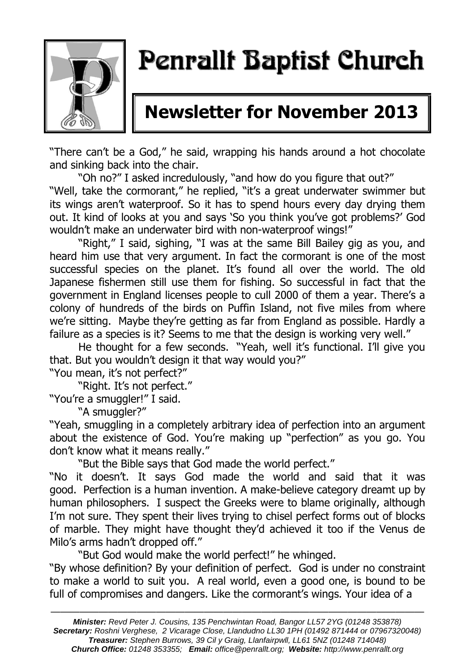

# Penrallt Baptist Church

## **Newsletter for November 2013**

"There can't be a God," he said, wrapping his hands around a hot chocolate and sinking back into the chair.

"Oh no?" I asked incredulously, "and how do you figure that out?"

"Well, take the cormorant," he replied, "it's a great underwater swimmer but its wings aren't waterproof. So it has to spend hours every day drying them out. It kind of looks at you and says 'So you think you've got problems?' God wouldn't make an underwater bird with non-waterproof wings!"

"Right," I said, sighing, "I was at the same Bill Bailey gig as you, and heard him use that very argument. In fact the cormorant is one of the most successful species on the planet. It's found all over the world. The old Japanese fishermen still use them for fishing. So successful in fact that the government in England licenses people to cull 2000 of them a year. There's a colony of hundreds of the birds on Puffin Island, not five miles from where we're sitting. Maybe they're getting as far from England as possible. Hardly a failure as a species is it? Seems to me that the design is working very well."

He thought for a few seconds. "Yeah, well it's functional. I'll give you that. But you wouldn't design it that way would you?"

"You mean, it's not perfect?"

"Right. It's not perfect."

"You're a smuggler!" I said.

"A smuggler?"

"Yeah, smuggling in a completely arbitrary idea of perfection into an argument about the existence of God. You're making up "perfection" as you go. You don't know what it means really."

"But the Bible says that God made the world perfect."

"No it doesn't. It says God made the world and said that it was good. Perfection is a human invention. A make-believe category dreamt up by human philosophers. I suspect the Greeks were to blame originally, although I'm not sure. They spent their lives trying to chisel perfect forms out of blocks of marble. They might have thought they'd achieved it too if the Venus de Milo's arms hadn't dropped off."

"But God would make the world perfect!" he whinged.

"By whose definition? By your definition of perfect. God is under no constraint to make a world to suit you. A real world, even a good one, is bound to be full of compromises and dangers. Like the cormorant's wings. Your idea of a

———————————————————————————————————————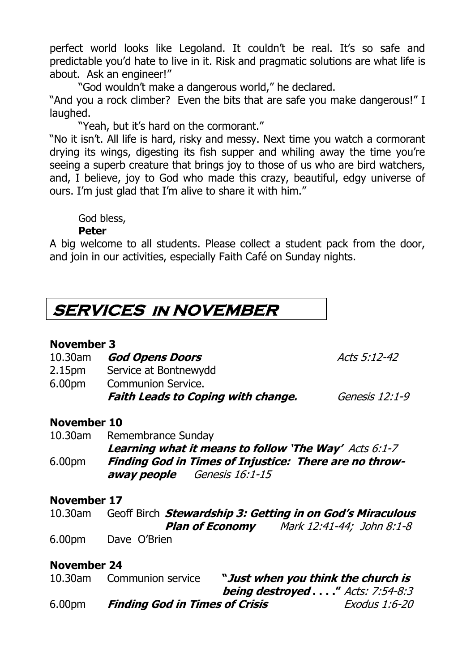perfect world looks like Legoland. It couldn't be real. It's so safe and predictable you'd hate to live in it. Risk and pragmatic solutions are what life is about. Ask an engineer!"

"God wouldn't make a dangerous world," he declared.

"And you a rock climber? Even the bits that are safe you make dangerous!" I laughed.

"Yeah, but it's hard on the cormorant."

"No it isn't. All life is hard, risky and messy. Next time you watch a cormorant drying its wings, digesting its fish supper and whiling away the time you're seeing a superb creature that brings joy to those of us who are bird watchers, and, I believe, joy to God who made this crazy, beautiful, edgy universe of ours. I'm just glad that I'm alive to share it with him."

God bless,

### **Peter**

A big welcome to all students. Please collect a student pack from the door, and join in our activities, especially Faith Café on Sunday nights.

### **SERVICES in NOVEMBER**

### **November 3**

10.30am **God Opens Doors Acts 5:12-42** 

- 2.15pm Service at Bontnewydd
- 6.00pm Communion Service.

|  |  | <b>Faith Leads to Coping with change</b> |  |
|--|--|------------------------------------------|--|
|  |  |                                          |  |

**e.** *Genesis 12:1-9* 

### **November 10**

10.30am Remembrance Sunday **Learning what it means to follow 'The Way'** Acts 6:1-7 6.00pm **Finding God in Times of Injustice: There are no throwaway people** Genesis 16:1-15

### **November 17**

10.30am Geoff Birch **Stewardship 3: Getting in on God's Miraculous Plan of Economy** Mark 12:41-44; John 8:1-8 6.00pm Dave O'Brien

### **November 24**

| 10.30am            | Communion service                     | "Just when you think the church is     |
|--------------------|---------------------------------------|----------------------------------------|
|                    |                                       | <b>being destroyed"</b> Acts: 7:54-8:3 |
| 6.00 <sub>pm</sub> | <b>Finding God in Times of Crisis</b> | Exodus 1:6-20                          |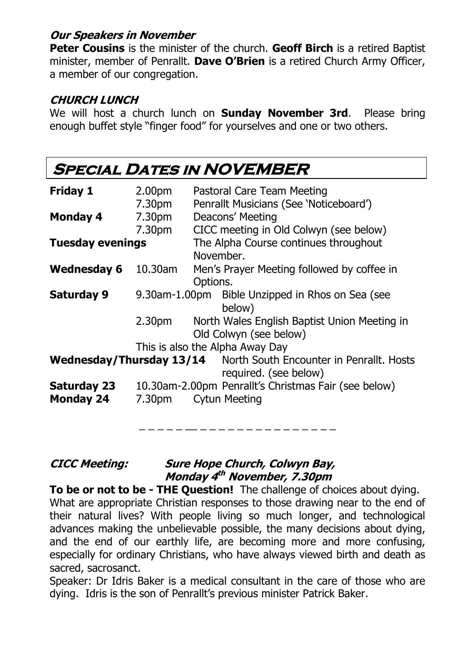### **Our Speakers in November**

**Peter Cousins** is the minister of the church. **Geoff Birch** is a retired Baptist minister, member of Penrallt. **Dave O'Brien** is a retired Church Army Officer, a member of our congregation.

### **CHURCH LUNCH**

We will host a church lunch on **Sunday November 3rd**. Please bring enough buffet style "finger food" for yourselves and one or two others.

### **SPECIAL DATES IN NOVEMBER**

| <b>Friday 1</b>         | 2.00pm             | Pastoral Care Team Meeting                                                                        |  |  |  |  |
|-------------------------|--------------------|---------------------------------------------------------------------------------------------------|--|--|--|--|
|                         | 7.30pm             | Penrallt Musicians (See 'Noticeboard')                                                            |  |  |  |  |
| <b>Monday 4</b>         | 7.30pm             | Deacons' Meeting                                                                                  |  |  |  |  |
|                         | 7.30pm             | CICC meeting in Old Colwyn (see below)                                                            |  |  |  |  |
| <b>Tuesday evenings</b> |                    | The Alpha Course continues throughout<br>November.                                                |  |  |  |  |
| <b>Wednesday 6</b>      | 10.30am            | Men's Prayer Meeting followed by coffee in<br>Options.                                            |  |  |  |  |
| <b>Saturday 9</b>       |                    | 9.30am-1.00pm Bible Unzipped in Rhos on Sea (see<br>below)                                        |  |  |  |  |
|                         | 2.30 <sub>pm</sub> | North Wales English Baptist Union Meeting in<br>Old Colwyn (see below)                            |  |  |  |  |
|                         |                    | This is also the Alpha Away Day                                                                   |  |  |  |  |
|                         |                    | <b>Wednesday/Thursday 13/14</b> North South Encounter in Penrallt. Hosts<br>required. (see below) |  |  |  |  |
| <b>Saturday 23</b>      |                    | 10.30am-2.00pm Penrallt's Christmas Fair (see below)                                              |  |  |  |  |
| <b>Monday 24</b>        | 7.30 <sub>pm</sub> | <b>Cytun Meeting</b>                                                                              |  |  |  |  |
|                         |                    |                                                                                                   |  |  |  |  |

**CICC Meeting: Sure Hope Church, Colwyn Bay, Monday 4 th November, 7.30pm**

**To be or not to be - THE Question!** The challenge of choices about dying. What are appropriate Christian responses to those drawing near to the end of their natural lives? With people living so much longer, and technological advances making the unbelievable possible, the many decisions about dying, and the end of our earthly life, are becoming more and more confusing, especially for ordinary Christians, who have always viewed birth and death as sacred, sacrosanct.

Speaker: Dr Idris Baker is a medical consultant in the care of those who are dying. Idris is the son of Penrallt's previous minister Patrick Baker.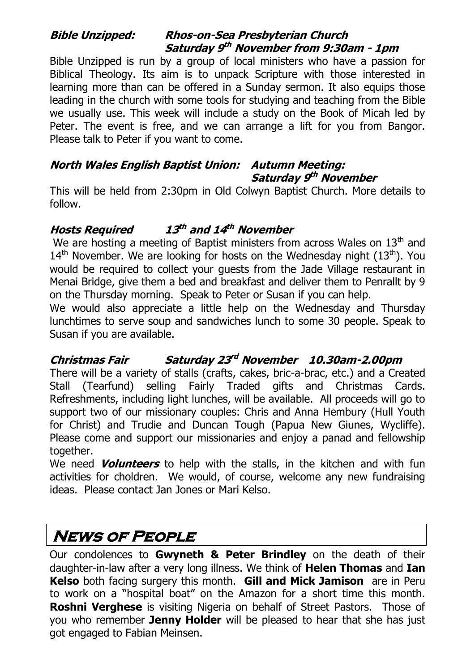### **Bible Unzipped: Rhos-on-Sea Presbyterian Church Saturday 9 th November from 9:30am - 1pm**

Bible Unzipped is run by a group of local ministers who have a passion for Biblical Theology. Its aim is to unpack Scripture with those interested in learning more than can be offered in a Sunday sermon. It also equips those leading in the church with some tools for studying and teaching from the Bible we usually use. This week will include a study on the Book of Micah led by Peter. The event is free, and we can arrange a lift for you from Bangor. Please talk to Peter if you want to come.

### **North Wales English Baptist Union: Autumn Meeting: Saturday 9 th November**

This will be held from 2:30pm in Old Colwyn Baptist Church. More details to follow.

#### **Hosts Required 13 th and 14 th November**

We are hosting a meeting of Baptist ministers from across Wales on  $13<sup>th</sup>$  and  $14<sup>th</sup>$  November. We are looking for hosts on the Wednesday night ( $13<sup>th</sup>$ ). You would be required to collect your guests from the Jade Village restaurant in Menai Bridge, give them a bed and breakfast and deliver them to Penrallt by 9 on the Thursday morning. Speak to Peter or Susan if you can help.

We would also appreciate a little help on the Wednesday and Thursday lunchtimes to serve soup and sandwiches lunch to some 30 people. Speak to Susan if you are available.

#### **Christmas Fair rd November 10.30am-2.00pm**

There will be a variety of stalls (crafts, cakes, bric-a-brac, etc.) and a Created Stall (Tearfund) selling Fairly Traded gifts and Christmas Cards. Refreshments, including light lunches, will be available. All proceeds will go to support two of our missionary couples: Chris and Anna Hembury (Hull Youth for Christ) and Trudie and Duncan Tough (Papua New Giunes, Wycliffe). Please come and support our missionaries and enjoy a panad and fellowship together.

We need **Volunteers** to help with the stalls, in the kitchen and with fun activities for choldren. We would, of course, welcome any new fundraising ideas. Please contact Jan Jones or Mari Kelso.

### **News of People**

Our condolences to **Gwyneth & Peter Brindley** on the death of their daughter-in-law after a very long illness. We think of **Helen Thomas** and **Ian Kelso** both facing surgery this month. **Gill and Mick Jamison** are in Peru to work on a "hospital boat" on the Amazon for a short time this month. **Roshni Verghese** is visiting Nigeria on behalf of Street Pastors. Those of you who remember **Jenny Holder** will be pleased to hear that she has just got engaged to Fabian Meinsen.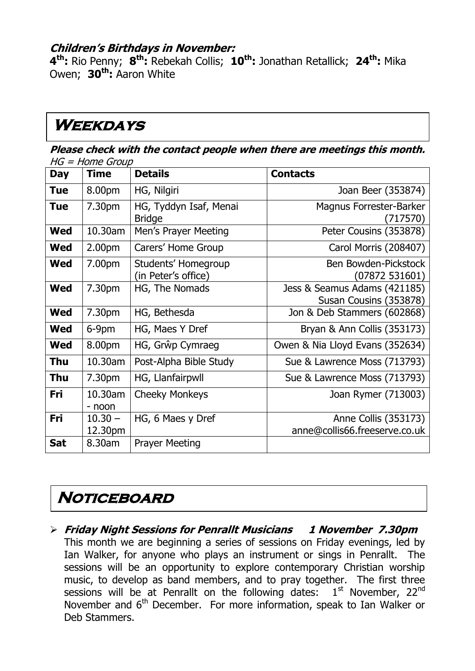### **Children's Birthdays in November:**

**4 th:** Rio Penny; **8 th:** Rebekah Collis; **10th:** Jonathan Retallick; **24th:** Mika Owen; **30th:** Aaron White

### **Weekdays**

**Please check with the contact people when there are meetings this month.**   $HG - H$ ome Group

|            | שטיוט דווטו ו – טו ו |                                            |                                                        |
|------------|----------------------|--------------------------------------------|--------------------------------------------------------|
| <b>Day</b> | <b>Time</b>          | <b>Details</b>                             | <b>Contacts</b>                                        |
| <b>Tue</b> | 8.00pm               | HG, Nilgiri                                | Joan Beer (353874)                                     |
| <b>Tue</b> | 7.30pm               | HG, Tyddyn Isaf, Menai<br><b>Bridge</b>    | <b>Magnus Forrester-Barker</b><br>(717570)             |
| <b>Wed</b> | 10.30am              | Men's Prayer Meeting                       | Peter Cousins (353878)                                 |
| <b>Wed</b> | 2.00 <sub>pm</sub>   | Carers' Home Group                         | Carol Morris (208407)                                  |
| <b>Wed</b> | 7.00pm               | Students' Homegroup<br>(in Peter's office) | Ben Bowden-Pickstock<br>(07872 531601)                 |
| <b>Wed</b> | 7.30pm               | HG, The Nomads                             | Jess & Seamus Adams (421185)<br>Susan Cousins (353878) |
| <b>Wed</b> | 7.30pm               | HG, Bethesda                               | Jon & Deb Stammers (602868)                            |
| <b>Wed</b> | 6-9pm                | HG, Maes Y Dref                            | Bryan & Ann Collis (353173)                            |
| <b>Wed</b> | 8.00pm               | HG, Grŵp Cymraeg                           | Owen & Nia Lloyd Evans (352634)                        |
| Thu        | 10.30am              | Post-Alpha Bible Study                     | Sue & Lawrence Moss (713793)                           |
| Thu        | 7.30pm               | HG, Llanfairpwll                           | Sue & Lawrence Moss (713793)                           |
| Fri        | 10.30am<br>- noon    | <b>Cheeky Monkeys</b>                      | Joan Rymer (713003)                                    |
| Fri        | $10.30 -$<br>12.30pm | HG, 6 Maes y Dref                          | Anne Collis (353173)<br>anne@collis66.freeserve.co.uk  |
| <b>Sat</b> | 8.30am               | <b>Prayer Meeting</b>                      |                                                        |

#### $\mathbb{R}^2$ **Noticeboard**

 **Friday Night Sessions for Penrallt Musicians 1 November 7.30pm** This month we are beginning a series of sessions on Friday evenings, led by Ian Walker, for anyone who plays an instrument or sings in Penrallt. The sessions will be an opportunity to explore contemporary Christian worship music, to develop as band members, and to pray together. The first three sessions will be at Penrallt on the following dates:  $1<sup>st</sup>$  November, 22<sup>nd</sup> November and 6<sup>th</sup> December. For more information, speak to Ian Walker or Deb Stammers.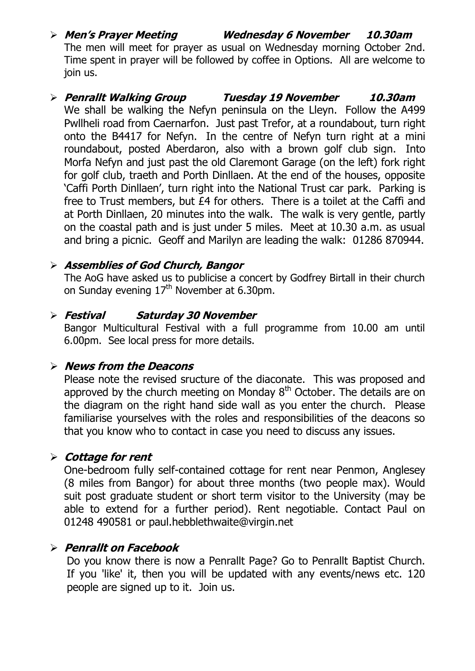#### **Men's Prayer Meeting Wednesday 6 November 10.30am** The men will meet for prayer as usual on Wednesday morning October 2nd. Time spent in prayer will be followed by coffee in Options. All are welcome to join us.

### **Penrallt Walking Group Tuesday 19 November 10.30am** We shall be walking the Nefyn peninsula on the Lleyn. Follow the A499 Pwllheli road from Caernarfon. Just past Trefor, at a roundabout, turn right onto the B4417 for Nefyn. In the centre of Nefyn turn right at a mini roundabout, posted Aberdaron, also with a brown golf club sign. Into Morfa Nefyn and just past the old Claremont Garage (on the left) fork right for golf club, traeth and Porth Dinllaen. At the end of the houses, opposite 'Caffi Porth Dinllaen', turn right into the National Trust car park. Parking is free to Trust members, but £4 for others. There is a toilet at the Caffi and at Porth Dinllaen, 20 minutes into the walk. The walk is very gentle, partly on the coastal path and is just under 5 miles. Meet at 10.30 a.m. as usual and bring a picnic. Geoff and Marilyn are leading the walk: 01286 870944.

### **Assemblies of God Church, Bangor**

The AoG have asked us to publicise a concert by Godfrey Birtall in their church on Sunday evening  $17<sup>th</sup>$  November at 6.30pm.

### **Festival Saturday 30 November**

Bangor Multicultural Festival with a full programme from 10.00 am until 6.00pm. See local press for more details.

### **News from the Deacons**

Please note the revised sructure of the diaconate. This was proposed and approved by the church meeting on Monday  $8<sup>th</sup>$  October. The details are on the diagram on the right hand side wall as you enter the church. Please familiarise yourselves with the roles and responsibilities of the deacons so that you know who to contact in case you need to discuss any issues.

### **Cottage for rent**

One-bedroom fully self-contained cottage for rent near Penmon, Anglesey (8 miles from Bangor) for about three months (two people max). Would suit post graduate student or short term visitor to the University (may be able to extend for a further period). Rent negotiable. Contact Paul on 01248 490581 or paul.hebblethwaite@virgin.net

### **Penrallt on Facebook**

Do you know there is now a Penrallt Page? Go to Penrallt Baptist Church. If you 'like' it, then you will be updated with any events/news etc. 120 people are signed up to it. Join us.